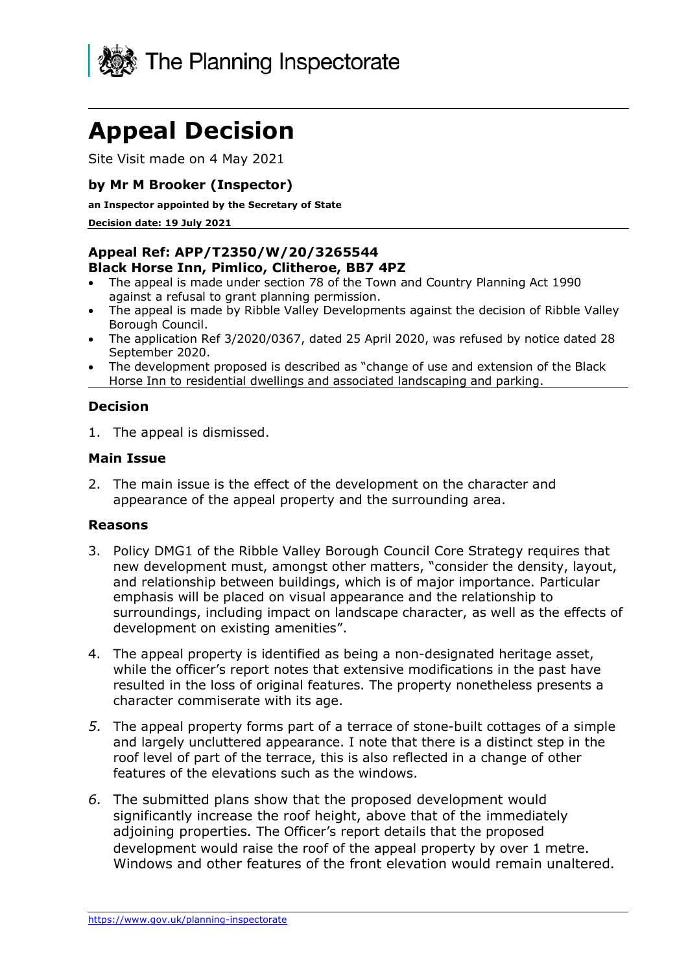

# **Appeal Decision**

Site Visit made on 4 May 2021

## **by Mr M Brooker (Inspector)**

**an Inspector appointed by the Secretary of State** 

**Decision date: 19 July 2021**

#### **Appeal Ref: APP/T2350/W/20/3265544 Black Horse Inn, Pimlico, Clitheroe, BB7 4PZ**

- The appeal is made under section 78 of the Town and Country Planning Act 1990 against a refusal to grant planning permission.
- The appeal is made by Ribble Valley Developments against the decision of Ribble Valley Borough Council.
- The application Ref 3/2020/0367, dated 25 April 2020, was refused by notice dated 28 September 2020.
- The development proposed is described as "change of use and extension of the Black Horse Inn to residential dwellings and associated landscaping and parking.

## **Decision**

1. The appeal is dismissed.

## **Main Issue**

2. The main issue is the effect of the development on the character and appearance of the appeal property and the surrounding area.

#### **Reasons**

- 3. Policy DMG1 of the Ribble Valley Borough Council Core Strategy requires that new development must, amongst other matters, "consider the density, layout, and relationship between buildings, which is of major importance. Particular emphasis will be placed on visual appearance and the relationship to surroundings, including impact on landscape character, as well as the effects of development on existing amenities".
- 4. The appeal property is identified as being a non-designated heritage asset, while the officer's report notes that extensive modifications in the past have resulted in the loss of original features. The property nonetheless presents a character commiserate with its age.
- *5.* The appeal property forms part of a terrace of stone-built cottages of a simple and largely uncluttered appearance. I note that there is a distinct step in the roof level of part of the terrace, this is also reflected in a change of other features of the elevations such as the windows.
- *6.* The submitted plans show that the proposed development would significantly increase the roof height, above that of the immediately adioining properties. The Officer's report details that the proposed development would raise the roof of the appeal property by over 1 metre. Windows and other features of the front elevation would remain unaltered.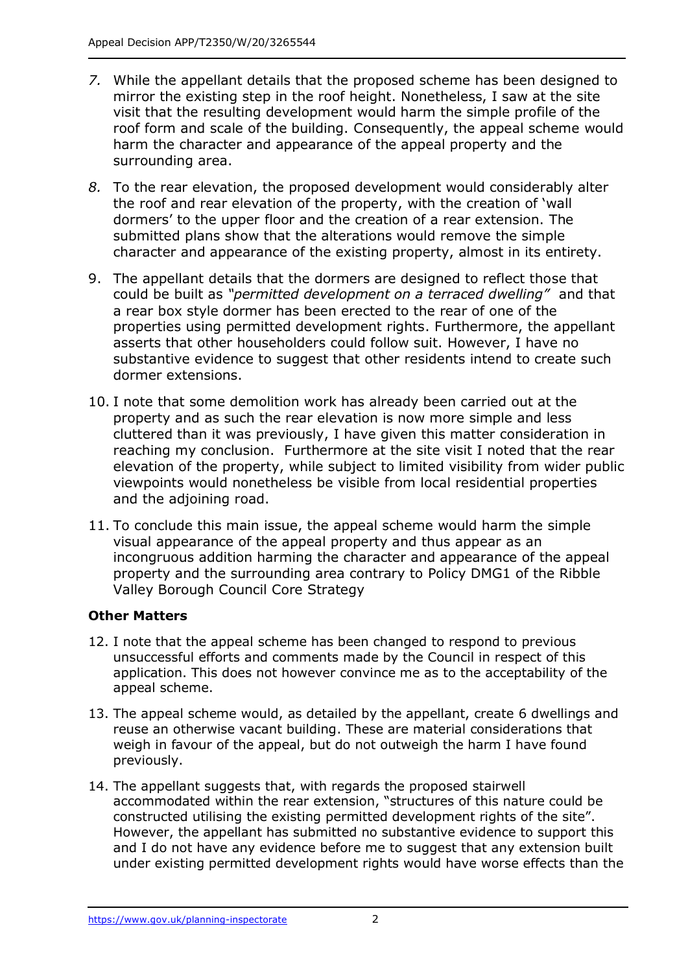- *7.* While the appellant details that the proposed scheme has been designed to mirror the existing step in the roof height. Nonetheless, I saw at the site visit that the resulting development would harm the simple profile of the roof form and scale of the building. Consequently, the appeal scheme would harm the character and appearance of the appeal property and the surrounding area.
- *8.* To the rear elevation, the proposed development would considerably alter the roof and rear elevation of the property, with the creation of 'wall dormers' to the upper floor and the creation of a rear extension. The submitted plans show that the alterations would remove the simple character and appearance of the existing property, almost in its entirety.
- 9. The appellant details that the dormers are designed to reflect those that could be built as *"permitted development on a terraced dwelling"* and that a rear box style dormer has been erected to the rear of one of the properties using permitted development rights. Furthermore, the appellant asserts that other householders could follow suit. However, I have no substantive evidence to suggest that other residents intend to create such dormer extensions.
- 10. I note that some demolition work has already been carried out at the property and as such the rear elevation is now more simple and less cluttered than it was previously, I have given this matter consideration in reaching my conclusion. Furthermore at the site visit I noted that the rear elevation of the property, while subject to limited visibility from wider public viewpoints would nonetheless be visible from local residential properties and the adjoining road.
- 11. To conclude this main issue, the appeal scheme would harm the simple visual appearance of the appeal property and thus appear as an incongruous addition harming the character and appearance of the appeal property and the surrounding area contrary to Policy DMG1 of the Ribble Valley Borough Council Core Strategy

## **Other Matters**

- 12. I note that the appeal scheme has been changed to respond to previous unsuccessful efforts and comments made by the Council in respect of this application. This does not however convince me as to the acceptability of the appeal scheme.
- 13. The appeal scheme would, as detailed by the appellant, create 6 dwellings and reuse an otherwise vacant building. These are material considerations that weigh in favour of the appeal, but do not outweigh the harm I have found previously.
- 14. The appellant suggests that, with regards the proposed stairwell accommodated within the rear extension, "structures of this nature could be constructed utilising the existing permitted development rights of the site". However, the appellant has submitted no substantive evidence to support this and I do not have any evidence before me to suggest that any extension built under existing permitted development rights would have worse effects than the